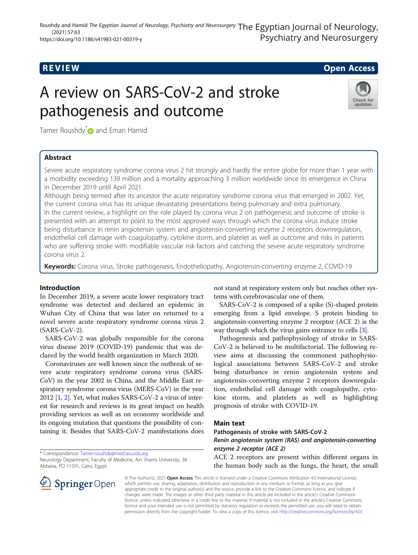## R EVI EW Open Access

# A review on SARS-CoV-2 and stroke pathogenesis and outcome



Tamer Roushdy<sup>\*</sup> and Eman Hamid

## Abstract

Severe acute respiratory syndrome corona virus 2 hit strongly and hardly the entire globe for more than 1 year with a morbidity exceeding 139 million and a mortality approaching 3 million worldwide since its emergence in China in December 2019 until April 2021.

Although being termed after its ancestor the acute respiratory syndrome corona virus that emerged in 2002. Yet, the current corona virus has its unique devastating presentations being pulmonary and extra pulmonary. In the current review, a highlight on the role played by corona virus 2 on pathogenesis and outcome of stroke is presented with an attempt to point to the most approved ways through which the corona virus induce stroke being disturbance in renin angiotensin system and angiotensin-converting enzyme 2 receptors downregulation, endothelial cell damage with coagulopathy, cytokine storm, and platelet as well as outcome and risks in patients who are suffering stroke with modifiable vascular risk factors and catching the severe acute respiratory syndrome corona virus 2.

Keywords: Corona virus, Stroke pathogenesis, Endotheliopathy, Angiotensin-converting enzyme 2, COVID-19

### Introduction

In December 2019, a severe acute lower respiratory tract syndrome was detected and declared an epidemic in Wuhan City of China that was later on returned to a novel severe acute respiratory syndrome corona virus 2 (SARS-CoV-2).

SARS-CoV-2 was globally responsible for the corona virus disease 2019 (COVID-19) pandemic that was declared by the world health organization in March 2020.

Coronaviruses are well known since the outbreak of severe acute respiratory syndrome corona virus (SARS-CoV) in the year 2002 in China, and the Middle East respiratory syndrome corona virus (MERS-CoV) in the year 2012 [[1,](#page-4-0) [2](#page-4-0)]. Yet, what makes SARS-CoV-2 a virus of interest for research and reviews is its great impact on health providing services as well as on economy worldwide and its ongoing mutation that questions the possibility of containing it. Besides that SARS-CoV-2 manifestations does

\* Correspondence: [Tamer.roushdy@med.asu.edu.eg](mailto:Tamer.roushdy@med.asu.edu.eg)

not stand at respiratory system only but reaches other systems with cerebrovascular one of them.

SARS-CoV-2 is composed of a spike (S)-shaped protein emerging from a lipid envelope. S protein binding to angiotensin-converting enzyme 2 receptor (ACE 2) is the way through which the virus gains entrance to cells [\[3](#page-4-0)].

Pathogenesis and pathophysiology of stroke in SARS-CoV-2 is believed to be multifactorial. The following review aims at discussing the commonest pathophysiological associations between SARS-CoV-2 and stroke being disturbance in renin angiotensin system and angiotensin-converting enzyme 2 receptors downregulation, endothelial cell damage with coagulopathy, cytokine storm, and platelets as well as highlighting prognosis of stroke with COVID-19.

#### Main text

Pathogenesis of stroke with SARS-CoV-2 Renin angiotensin system (RAS) and angiotensin-converting

## enzyme 2 receptor (ACE 2)

ACE 2 receptors are present within different organs in the human body such as the lungs, the heart, the small



© The Author(s). 2021 Open Access This article is licensed under a Creative Commons Attribution 4.0 International License, which permits use, sharing, adaptation, distribution and reproduction in any medium or format, as long as you give appropriate credit to the original author(s) and the source, provide a link to the Creative Commons licence, and indicate if changes were made. The images or other third party material in this article are included in the article's Creative Commons licence, unless indicated otherwise in a credit line to the material. If material is not included in the article's Creative Commons licence and your intended use is not permitted by statutory regulation or exceeds the permitted use, you will need to obtain permission directly from the copyright holder. To view a copy of this licence, visit <http://creativecommons.org/licenses/by/4.0/>.

Neurology Department, Faculty of Medicine, Ain Shams University, 38 Abbasia, PO 11591, Cairo, Egypt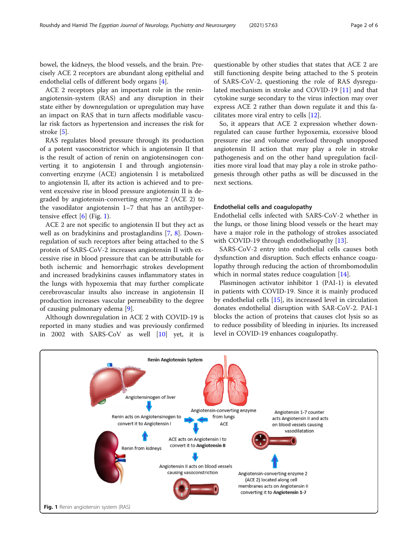bowel, the kidneys, the blood vessels, and the brain. Precisely ACE 2 receptors are abundant along epithelial and endothelial cells of different body organs [[4\]](#page-4-0).

ACE 2 receptors play an important role in the reninangiotensin-system (RAS) and any disruption in their state either by downregulation or upregulation may have an impact on RAS that in turn affects modifiable vascular risk factors as hypertension and increases the risk for stroke [[5\]](#page-4-0).

RAS regulates blood pressure through its production of a potent vasoconstrictor which is angiotensin II that is the result of action of renin on angiotensinogen converting it to angiotensin I and through angiotensinconverting enzyme (ACE) angiotensin I is metabolized to angiotensin II, after its action is achieved and to prevent excessive rise in blood pressure angiotensin II is degraded by angiotensin-converting enzyme 2 (ACE 2) to the vasodilator angiotensin 1–7 that has an antihypertensive effect  $[6]$  (Fig. 1).

ACE 2 are not specific to angiotensin II but they act as well as on bradykinins and prostaglandins [\[7,](#page-4-0) [8\]](#page-4-0). Downregulation of such receptors after being attached to the S protein of SARS-CoV-2 increases angiotensin II with excessive rise in blood pressure that can be attributable for both ischemic and hemorrhagic strokes development and increased bradykinins causes inflammatory states in the lungs with hypoxemia that may further complicate cerebrovascular insults also increase in angiotensin II production increases vascular permeability to the degree of causing pulmonary edema [[9\]](#page-4-0).

Although downregulation in ACE 2 with COVID-19 is reported in many studies and was previously confirmed in 2002 with SARS-CoV as well [[10\]](#page-4-0) yet, it is

questionable by other studies that states that ACE 2 are still functioning despite being attached to the S protein of SARS-CoV-2, questioning the role of RAS dysregulated mechanism in stroke and COVID-19 [[11](#page-4-0)] and that cytokine surge secondary to the virus infection may over express ACE 2 rather than down regulate it and this facilitates more viral entry to cells [[12](#page-4-0)].

So, it appears that ACE 2 expression whether downregulated can cause further hypoxemia, excessive blood pressure rise and volume overload through unopposed angiotensin II action that may play a role in stroke pathogenesis and on the other hand upregulation facilities more viral load that may play a role in stroke pathogenesis through other paths as will be discussed in the next sections.

#### Endothelial cells and coagulopathy

Endothelial cells infected with SARS-CoV-2 whether in the lungs, or those lining blood vessels or the heart may have a major role in the pathology of strokes associated with COVID-19 through endotheliopathy [[13\]](#page-4-0).

SARS-CoV-2 entry into endothelial cells causes both dysfunction and disruption. Such effects enhance coagulopathy through reducing the action of thrombomodulin which in normal states reduce coagulation [[14](#page-4-0)].

Plasminogen activator inhibitor 1 (PAI-1) is elevated in patients with COVID-19. Since it is mainly produced by endothelial cells [[15\]](#page-4-0), its increased level in circulation donates endothelial disruption with SAR-CoV-2. PAI-1 blocks the action of proteins that causes clot lysis so as to reduce possibility of bleeding in injuries. Its increased level in COVID-19 enhances coagulopathy.

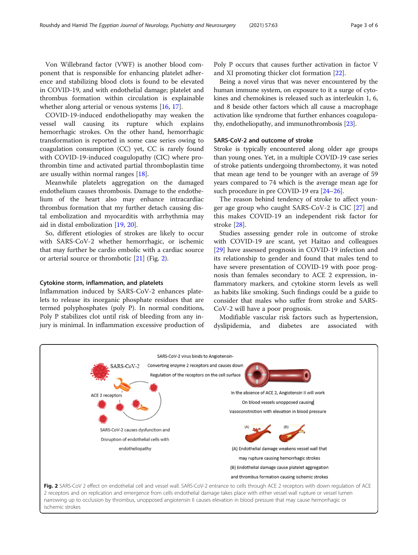Von Willebrand factor (VWF) is another blood component that is responsible for enhancing platelet adherence and stabilizing blood clots is found to be elevated in COVID-19, and with endothelial damage; platelet and thrombus formation within circulation is explainable whether along arterial or venous systems [\[16](#page-4-0), [17](#page-4-0)].

COVID-19-induced endotheliopathy may weaken the vessel wall causing its rupture which explains hemorrhagic strokes. On the other hand, hemorrhagic transformation is reported in some case series owing to coagulation consumption (CC) yet, CC is rarely found with COVID-19-induced coagulopathy (CIC) where prothrombin time and activated partial thromboplastin time are usually within normal ranges [[18\]](#page-4-0).

Meanwhile platelets aggregation on the damaged endothelium causes thrombosis. Damage to the endothelium of the heart also may enhance intracardiac thrombus formation that my further detach causing distal embolization and myocarditis with arrhythmia may aid in distal embolization [\[19](#page-4-0), [20](#page-4-0)].

So, different etiologies of strokes are likely to occur with SARS-CoV-2 whether hemorrhagic, or ischemic that may further be cardio embolic with a cardiac source or arterial source or thrombotic [\[21](#page-4-0)] (Fig. 2).

#### Cytokine storm, inflammation, and platelets

Inflammation induced by SARS-CoV-2 enhances platelets to release its inorganic phosphate residues that are termed polyphosphates (poly P). In normal conditions, Poly P stabilizes clot until risk of bleeding from any injury is minimal. In inflammation excessive production of

Poly P occurs that causes further activation in factor V and XI promoting thicker clot formation [[22\]](#page-4-0).

Being a novel virus that was never encountered by the human immune system, on exposure to it a surge of cytokines and chemokines is released such as interleukin 1, 6, and 8 beside other factors which all cause a macrophage activation like syndrome that further enhances coagulopathy, endotheliopathy, and immunothrombosis [\[23](#page-4-0)].

#### SARS-CoV-2 and outcome of stroke

Stroke is typically encountered along older age groups than young ones. Yet, in a multiple COVID-19 case series of stroke patients undergoing thrombectomy, it was noted that mean age tend to be younger with an average of 59 years compared to 74 which is the average mean age for such procedure in pre COVID-19 era [[24](#page-4-0)–[26](#page-4-0)].

The reason behind tendency of stroke to affect younger age group who caught SARS-CoV-2 is CIC [\[27\]](#page-4-0) and this makes COVID-19 an independent risk factor for stroke [[28\]](#page-4-0).

Studies assessing gender role in outcome of stroke with COVID-19 are scant, yet Haitao and colleagues [[29\]](#page-4-0) have assessed prognosis in COVID-19 infection and its relationship to gender and found that males tend to have severe presentation of COVID-19 with poor prognosis than females secondary to ACE 2 expression, inflammatory markers, and cytokine storm levels as well as habits like smoking. Such findings could be a guide to consider that males who suffer from stroke and SARS-CoV-2 will have a poor prognosis.

Modifiable vascular risk factors such as hypertension, dyslipidemia, and diabetes are associated with

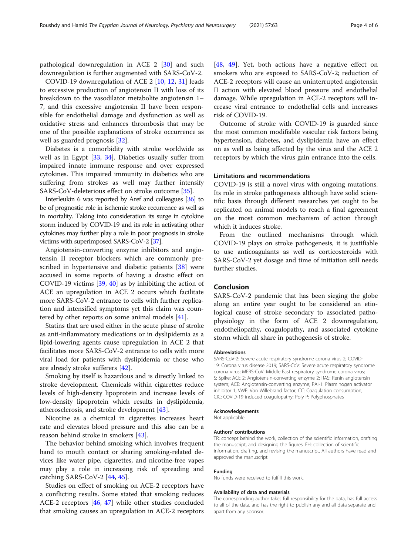pathological downregulation in ACE 2 [[30\]](#page-4-0) and such downregulation is further augmented with SARS-CoV-2.

COVID-19 downregulation of ACE 2 [\[10,](#page-4-0) [12,](#page-4-0) [31\]](#page-4-0) leads to excessive production of angiotensin II with loss of its breakdown to the vasodilator metabolite angiotensin 1– 7, and this excessive angiotensin II have been responsible for endothelial damage and dysfunction as well as oxidative stress and enhances thrombosis that may be one of the possible explanations of stroke occurrence as well as guarded prognosis [\[32](#page-4-0)].

Diabetes is a comorbidity with stroke worldwide as well as in Egypt [[33,](#page-4-0) [34](#page-4-0)]. Diabetics usually suffer from impaired innate immune response and over expressed cytokines. This impaired immunity in diabetics who are suffering from strokes as well may further intensify SARS-CoV-deleterious effect on stroke outcome [\[35\]](#page-4-0).

Interleukin 6 was reported by Aref and colleagues [\[36](#page-4-0)] to be of prognostic role in ischemic stroke recurrence as well as in mortality. Taking into consideration its surge in cytokine storm induced by COVID-19 and its role in activating other cytokines may further play a role in poor prognosis in stroke victims with superimposed SARS-CoV-2 [[37\]](#page-5-0).

Angiotensin-converting enzyme inhibitors and angiotensin II receptor blockers which are commonly prescribed in hypertensive and diabetic patients [[38\]](#page-5-0) were accused in some reports of having a drastic effect on COVID-19 victims [\[39](#page-5-0), [40](#page-5-0)] as by inhibiting the action of ACE an upregulation in ACE 2 occurs which facilitate more SARS-CoV-2 entrance to cells with further replication and intensified symptoms yet this claim was countered by other reports on some animal models [\[41](#page-5-0)].

Statins that are used either in the acute phase of stroke as anti-inflammatory medications or in dyslipidemia as a lipid-lowering agents cause upregulation in ACE 2 that facilitates more SARS-CoV-2 entrance to cells with more viral load for patients with dyslipidemia or those who are already stroke sufferers [[42\]](#page-5-0).

Smoking by itself is hazardous and is directly linked to stroke development. Chemicals within cigarettes reduce levels of high-density lipoprotein and increase levels of low-density lipoprotein which results in dyslipidemia, atherosclerosis, and stroke development [[43](#page-5-0)].

Nicotine as a chemical in cigarettes increases heart rate and elevates blood pressure and this also can be a reason behind stroke in smokers [\[43](#page-5-0)].

The behavior behind smoking which involves frequent hand to mouth contact or sharing smoking-related devices like water pipe, cigarettes, and nicotine-free vapes may play a role in increasing risk of spreading and catching SARS-CoV-2 [[44,](#page-5-0) [45](#page-5-0)].

Studies on effect of smoking on ACE-2 receptors have a conflicting results. Some stated that smoking reduces ACE-2 receptors [[46,](#page-5-0) [47\]](#page-5-0) while other studies concluded that smoking causes an upregulation in ACE-2 receptors

[[48,](#page-5-0) [49](#page-5-0)]. Yet, both actions have a negative effect on smokers who are exposed to SARS-CoV-2; reduction of ACE-2 receptors will cause an uninterrupted angiotensin II action with elevated blood pressure and endothelial damage. While upregulation in ACE-2 receptors will increase viral entrance to endothelial cells and increases risk of COVID-19.

Outcome of stroke with COVID-19 is guarded since the most common modifiable vascular risk factors being hypertension, diabetes, and dyslipidemia have an effect on as well as being affected by the virus and the ACE 2 receptors by which the virus gain entrance into the cells.

#### Limitations and recommendations

COVID-19 is still a novel virus with ongoing mutations. Its role in stroke pathogenesis although have solid scientific basis through different researches yet ought to be replicated on animal models to reach a final agreement on the most common mechanism of action through which it induces stroke.

From the outlined mechanisms through which COVID-19 plays on stroke pathogenesis, it is justifiable to use anticoagulants as well as corticosteroids with SARS-CoV-2 yet dosage and time of initiation still needs further studies.

#### Conclusion

SARS-CoV-2 pandemic that has been sieging the globe along an entire year ought to be considered an etiological cause of stroke secondary to associated pathophysiology in the form of ACE 2 downregulation, endotheliopathy, coagulopathy, and associated cytokine storm which all share in pathogenesis of stroke.

#### Abbreviations

SARS-CoV-2: Severe acute respiratory syndrome corona virus 2; COVID-19: Corona virus disease 2019; SARS-CoV: Severe acute respiratory syndrome corona virus; MERS-CoV: Middle East respiratory syndrome corona virus; S: Spike; ACE 2: Angiotensin-converting enzyme 2; RAS: Renin angiotensin system; ACE: Angiotensin-converting enzyme; PAI-1: Plasminogen activator inhibitor 1; VWF: Von Willebrand factor; CC: Coagulation consumption; CIC: COVID-19 induced coagulopathy; Poly P: Polyphosphates

#### Acknowledgements

Not applicable.

#### Authors' contributions

TR: concept behind the work, collection of the scientific information, drafting the manuscript, and designing the figures. EH: collection of scientific information, drafting, and revising the manuscript. All authors have read and approved the manuscript.

#### Funding

No funds were received to fulfill this work.

#### Availability of data and materials

The corresponding author takes full responsibility for the data, has full access to all of the data, and has the right to publish any and all data separate and apart from any sponsor.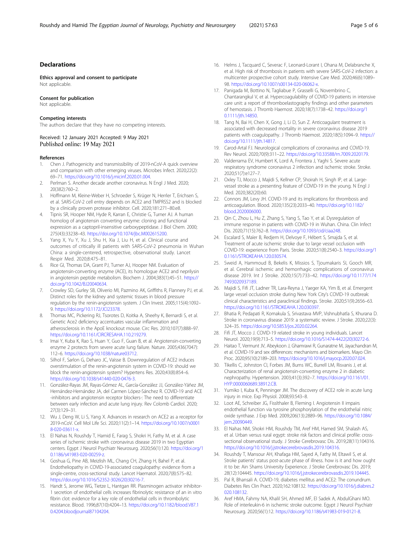#### <span id="page-4-0"></span>Declarations

Ethics approval and consent to participate Not applicable.

#### Consent for publication

Not applicable.

#### Competing interests

The authors declare that they have no competing interests.

Received: 12 January 2021 Accepted: 9 May 2021 Published online: 19 May 2021

#### References

- 1. Chen J. Pathogenicity and transmissibility of 2019-nCoV-A quick overview and comparison with other emerging viruses. Microbes Infect. 2020;22(2): 69–71. [https://doi.org/10.1016/j.micinf.2020.01.004.](https://doi.org/10.1016/j.micinf.2020.01.004)
- 2. Perlman S. Another decade another coronavirus. N Engl J Med. 2020; 20(382):760–2.
- 3. Hoffmann M, Kleine-Weber H, Schroeder S, Krüger N, Herrler T, Erichsen S, et al. SARS-CoV-2 cell entry depends on ACE2 and TMPRSS2 and is blocked by a clinically proven protease inhibitor. Cell. 2020;181:271–80.e8.
- 4. Tipnis SR, Hooper NM, Hyde R, Karran E, Christie G, Turner AJ. A human homolog of angiotensin converting enzyme: cloning and functional expression as a captopril-insensitive carboxypeptidase. J Biol Chem. 2000; 275(43):33238–43. <https://doi.org/10.1074/jbc.M002615200>.
- 5. Yang X, Yu Y, Xu J, Shu H, Xia J, Liu H, et al. Clinical course and outcomes of critically ill patients with SARS-CoV-2 pneumonia in Wuhan China: a single-centered, retrospective, observational study. Lancet Respir Med. 2020;8:475–81.
- 6. Rice GI, Thomas DA, Grant PJ, Turner AJ, Hooper NM. Evaluation of angiotensin-converting enzyme (ACE), its homologue ACE2 and neprilysin in angiotensin peptide metabolism. Biochem J. 2004;383(1):45–51. [https://](https://doi.org/10.1042/BJ20040634) [doi.org/10.1042/BJ20040634.](https://doi.org/10.1042/BJ20040634)
- 7. Crowley SD, Gurley SB, Oliverio MI, Pazmino AK, Griffiths R, Flannery PJ, et al. Distinct roles for the kidney and systemic tissues in blood pressure regulation by the renin-angiotensin system. J Clin Invest. 2005;115(4):1092– 9. [https://doi.org/10.1172/JCI23378.](https://doi.org/10.1172/JCI23378)
- Thomas MC, Pickering RJ, Tsorotes D, Koitka A, Sheehy K, Bernardi S, et al. Genetic Ace2 deficiency accentuates vascular inflammation and atherosclerosis in the ApoE knockout mouse. Circ Res. 2010;107(7):888–97. [https://doi.org/10.1161/CIRCRESAHA.110.219279.](https://doi.org/10.1161/CIRCRESAHA.110.219279)
- 9. Imai Y, Kuba K, Rao S, Huan Y, Guo F, Guan B, et al. Angiotensin-converting enzyme 2 protects from severe acute lung failure. Nature. 2005;436(7047): 112–6. [https://doi.org/10.1038/nature03712.](https://doi.org/10.1038/nature03712)
- 10. Silhol F, Sarlon G, Deharo JC, Vaïsse B. Downregulation of ACE2 induces overstimulation of the renin-angiotensin system in COVID-19: should we block the renin-angiotensin system? Hypertens Res. 2020;43(8):854–6. <https://doi.org/10.1038/s41440-020-0476-3>.
- 11. González-Rayas JM, Rayas-Gómez AL, García-González JJ, González-Yáñez JM, Hernández-Hernández JA, del Carmen López-Sánchez R. COVID-19 and ACE -inhibitors and angiotensin receptor blockers-: The need to differentiate between early infection and acute lung injury. Rev Colomb Cardiol. 2020; 27(3):129–31.
- 12. Wu J, Deng W, Li S, Yang X. Advances in research on ACE2 as a receptor for 2019-nCoV. Cell Mol Life Sci. 2020;11(2):1–14. [https://doi.org/10.1007/s0001](https://doi.org/10.1007/s00018-020-03611-x) [8-020-03611-x.](https://doi.org/10.1007/s00018-020-03611-x)
- 13. El Nahas N, Roushdy T, Hamid E, Farag S, Shokri H, Fathy M, et al. A case series of ischemic stroke with coronavirus disease 2019 in two Egyptian centers. Egypt J Neurol Psychiatr Neurosurg. 2020;56(1):120. [https://doi.org/1](https://doi.org/10.1186/s41983-020-00259-z) [0.1186/s41983-020-00259-z](https://doi.org/10.1186/s41983-020-00259-z).
- 14. Goshua G, Pine AB, Meizlish ML, Chang CH, Zhang H, Bahel P, et al. Endotheliopathy in COVID-19-associated coagulopathy: evidence from a single-centre, cross-sectional study. Lancet Haematol. 2020;7(8):575–82. [https://doi.org/10.1016/S2352-3026\(20\)30216-7.](https://doi.org/10.1016/S2352-3026(20)30216-7)
- 15. Handt S, Jerome WG, Tietze L, Hantgan RR. Plasminogen activator inhibitor-1 secretion of endothelial cells increases fibrinolytic resistance of an in vitro fibrin clot: evidence for a key role of endothelial cells in thrombolytic resistance. Blood. 1996;87(10):4204–13. [https://doi.org/10.1182/blood.V87.1](https://doi.org/10.1182/blood.V87.10.4204.bloodjournal87104204) [0.4204.bloodjournal87104204.](https://doi.org/10.1182/blood.V87.10.4204.bloodjournal87104204)
- 16. Helms J, Tacquard C, Severac F, Leonard-Lorant I, Ohana M, Delabranche X, et al. High risk of thrombosis in patients with severe SARS-CoV-2 infection: a multicenter prospective cohort study. Intensive Care Med. 2020;46(6):1089– 98. <https://doi.org/10.1007/s00134-020-06062-x>.
- 17. Panigada M, Bottino N, Tagliabue P, Grasselli G, Novembrino C, Chantarangkul V, et al. Hypercoagulability of COVID-19 patients in intensive care unit: a report of thromboelastography findings and other parameters of hemostasis. J Thromb Haemost. 2020;18(7):1738–42. [https://doi.org/1](https://doi.org/10.1111/jth.14850) [0.1111/jth.14850](https://doi.org/10.1111/jth.14850).
- 18. Tang N, Bai H, Chen X, Gong J, Li D, Sun Z. Anticoagulant treatment is associated with decreased mortality in severe coronavirus disease 2019 patients with coagulopathy. J Thromb Haemost. 2020;18(5):1094–9. [https://](https://doi.org/10.1111/jth.14817) [doi.org/10.1111/jth.14817.](https://doi.org/10.1111/jth.14817)
- 19. Carod-Artal FJ. Neurological complications of coronavirus and COVID-19. Rev Neurol. 2020;70(9):311–22. [https://doi.org/10.33588/rn.7009.2020179.](https://doi.org/10.33588/rn.7009.2020179)
- 20. Valderrama EV, Humbert K, Lord A, Frontera J, Yaghi S. Severe acute respiratory syndrome coronavirus 2 infection and ischemic stroke. Stroke. 2020;51(7):e127–7.
- 21. Oxley TJ, Mocco J, Majidi S, Kellner CP, Shoirah H, Singh IP, et al. Largevessel stroke as a presenting feature of COVID-19 in the young. N Engl J Med. 2020;382(20):60.
- 22. Connors JM, Levy JH. COVID-19 and its implications for thrombosis and anticoagulation. Blood. 2020;135(23):2033–40. [https://doi.org/10.1182/](https://doi.org/10.1182/blood.2020006000) [blood.2020006000.](https://doi.org/10.1182/blood.2020006000)
- 23. Qin C, Zhou L, Hu Z, Zhang S, Yang S, Tao Y, et al. Dysregulation of immune response in patients with COVID-19 in Wuhan. China. Clin Infect Dis. 2020;71(15):762–8. <https://doi.org/10.1093/cid/ciaa248>.
- 24. Escalard S, Maïer B, Redjem H, Delvoye F, Hébert S, Smajda S, et al. Treatment of acute ischemic stroke due to large vessel occlusion with COVID-19: experience from Paris. Stroke. 2020;51(8):2540–3. [https://doi.org/1](https://doi.org/10.1161/STROKEAHA.120.030574) [0.1161/STROKEAHA.120.030574.](https://doi.org/10.1161/STROKEAHA.120.030574)
- 25. Sweid A, Hammoud B, Bekelis K, Missios S, Tjoumakaris SI, Gooch MR, et al. Cerebral ischemic and hemorrhagic complications of coronavirus disease 2019. Int J Stroke. 2020;15(7):733–42. [https://doi.org/10.1177/174](https://doi.org/10.1177/1747493020937189) [7493020937189](https://doi.org/10.1177/1747493020937189).
- 26. Majidi S, Fifi JT, Ladner TR, Lara-Reyna J, Yaeger KA, Yim B, et al. Emergent large vessel occlusion stroke during New York City's COVID-19 outbreak: clinical characteristics and paraclinical findings. Stroke. 2020;51(9):2656–63. <https://doi.org/10.1161/STROKEAHA.120.030397>.
- 27. Bhatia R, Pedapati R, Komakula S, Srivastava MVP, Vishnubhatla S, Khurana D. Stroke in coronavirus disease 2019: a systematic review. J Stroke. 2020;22(3): 324–35. [https://doi.org/10.5853/jos.2020.02264.](https://doi.org/10.5853/jos.2020.02264)
- 28. Fifi JT, Mocco J. COVID-19 related stroke in young individuals. Lancet Neurol. 2020;19(9):713–5. [https://doi.org/10.1016/S1474-4422\(20\)30272-6](https://doi.org/10.1016/S1474-4422(20)30272-6).
- 29. Haitao T, Vermunt JV, Abeykoon J, Ghamrawi R, Gunaratne M, Jayachandran M, et al. COVID-19 and sex differences: mechanisms and biomarkers. Mayo Clin Proc. 2020;95(10):2189–203. <https://doi.org/10.1016/j.mayocp.2020.07.024>.
- 30. Tikellis C, Johnston CI, Forbes JM, Burns WC, Burrell LM, Risvanis J, et al. Characterization of renal angiotensin-converting enzyme 2 in diabetic nephropathy. Hypertension. 2003;41(3):392–7. [https://doi.org/10.1161/01.](https://doi.org/10.1161/01.HYP.0000060689.38912.CB) [HYP.0000060689.38912.CB.](https://doi.org/10.1161/01.HYP.0000060689.38912.CB)
- 31. Yumiko I, Kuba K, Penninger JM. The discovery of ACE2 role in acute lung injury in mice. Exp Physiol. 2008;93:543–8.
- 32. Loot AE, Schreiber JG, Fisslthaler B, Fleming I. Angiotensin II impairs endothelial function via tyrosine phosphorylation of the endothelial nitric oxide synthase. J Exp Med. 2009;206(13):2889–96. [https://doi.org/10.1084/](https://doi.org/10.1084/jem.20090449) iem.20090449
- 33. El Nahas NM, Shokri HM, Roushdy TM, Aref HM, Hamed SM, Shalash AS, et al. Urban versus rural egypt: stroke risk factors and clinical profile: crosssectional observational study. J Stroke Cerebrovasc Dis. 2019;28(11):104316. <https://doi.org/10.1016/j.jstrokecerebrovasdis.2019.104316>.
- 34. Roushdy T, Mansour AH, Khafaga HM, Sayed A, Fathy M, Eltawil S, et al. Stroke patients' status post-acute phase of illness. how is it and how ought it to be: Ain Shams University Experience. J Stroke Cerebrovasc Dis. 2019; 28(12):104445. [https://doi.org/10.1016/j.jstrokecerebrovasdis.2019.104445.](https://doi.org/10.1016/j.jstrokecerebrovasdis.2019.104445)
- 35. Pal R, Bhansali A. COVID-19, diabetes mellitus and ACE2: The conundrum. Diabetes Res Clin Pract. 2020;162:108132. [https://doi.org/10.1016/j.diabres.2](https://doi.org/10.1016/j.diabres.2020.108132) [020.108132.](https://doi.org/10.1016/j.diabres.2020.108132)
- 36. Aref HMA, Fahmy NA, Khalil SH, Ahmed MF, El Sadek A, AbdulGhani MO. Role of interleukin-6 in ischemic stroke outcome. Egypt J Neurol Psychiatr Neurosurg. 2020;56(1):12. <https://doi.org/10.1186/s41983-019-0121-8>.